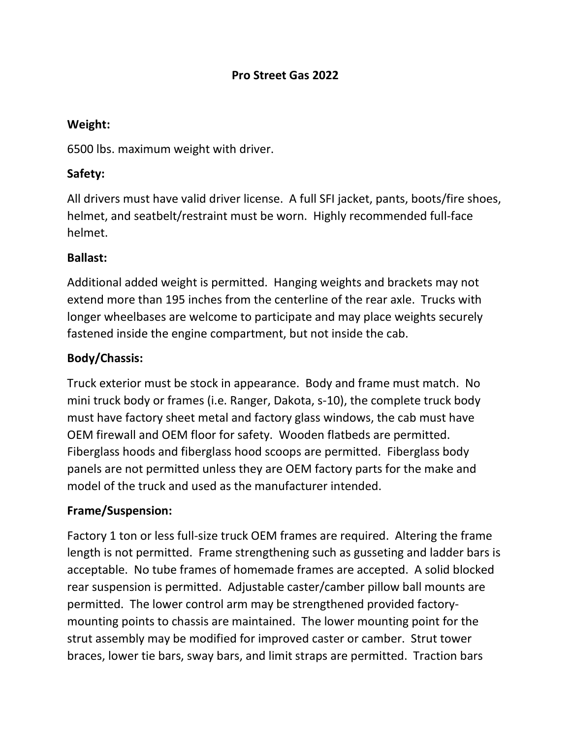### **Pro Street Gas 2022**

#### **Weight:**

6500 lbs. maximum weight with driver.

## **Safety:**

All drivers must have valid driver license. A full SFI jacket, pants, boots/fire shoes, helmet, and seatbelt/restraint must be worn. Highly recommended full-face helmet.

### **Ballast:**

Additional added weight is permitted. Hanging weights and brackets may not extend more than 195 inches from the centerline of the rear axle. Trucks with longer wheelbases are welcome to participate and may place weights securely fastened inside the engine compartment, but not inside the cab.

## **Body/Chassis:**

Truck exterior must be stock in appearance. Body and frame must match. No mini truck body or frames (i.e. Ranger, Dakota, s-10), the complete truck body must have factory sheet metal and factory glass windows, the cab must have OEM firewall and OEM floor for safety. Wooden flatbeds are permitted. Fiberglass hoods and fiberglass hood scoops are permitted. Fiberglass body panels are not permitted unless they are OEM factory parts for the make and model of the truck and used as the manufacturer intended.

#### **Frame/Suspension:**

Factory 1 ton or less full-size truck OEM frames are required. Altering the frame length is not permitted. Frame strengthening such as gusseting and ladder bars is acceptable. No tube frames of homemade frames are accepted. A solid blocked rear suspension is permitted. Adjustable caster/camber pillow ball mounts are permitted. The lower control arm may be strengthened provided factorymounting points to chassis are maintained. The lower mounting point for the strut assembly may be modified for improved caster or camber. Strut tower braces, lower tie bars, sway bars, and limit straps are permitted. Traction bars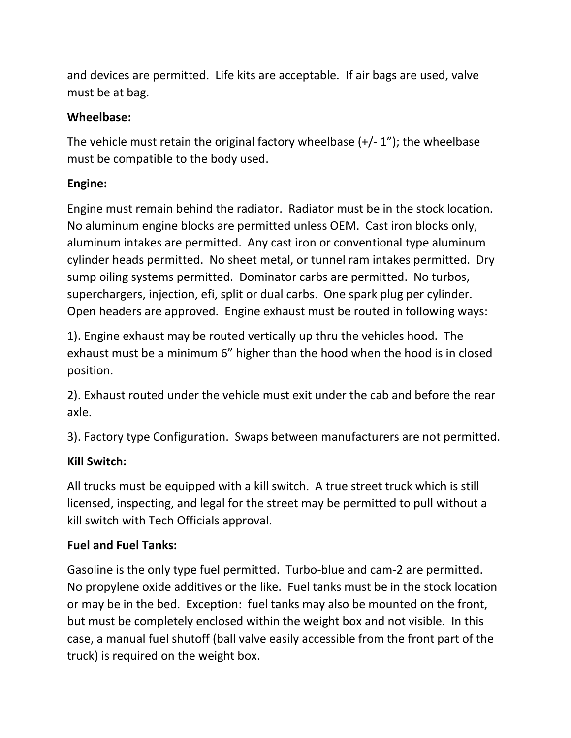and devices are permitted. Life kits are acceptable. If air bags are used, valve must be at bag.

## **Wheelbase:**

The vehicle must retain the original factory wheelbase (+/- 1"); the wheelbase must be compatible to the body used.

## **Engine:**

Engine must remain behind the radiator. Radiator must be in the stock location. No aluminum engine blocks are permitted unless OEM. Cast iron blocks only, aluminum intakes are permitted. Any cast iron or conventional type aluminum cylinder heads permitted. No sheet metal, or tunnel ram intakes permitted. Dry sump oiling systems permitted. Dominator carbs are permitted. No turbos, superchargers, injection, efi, split or dual carbs. One spark plug per cylinder. Open headers are approved. Engine exhaust must be routed in following ways:

1). Engine exhaust may be routed vertically up thru the vehicles hood. The exhaust must be a minimum 6" higher than the hood when the hood is in closed position.

2). Exhaust routed under the vehicle must exit under the cab and before the rear axle.

3). Factory type Configuration. Swaps between manufacturers are not permitted.

# **Kill Switch:**

All trucks must be equipped with a kill switch. A true street truck which is still licensed, inspecting, and legal for the street may be permitted to pull without a kill switch with Tech Officials approval.

# **Fuel and Fuel Tanks:**

Gasoline is the only type fuel permitted. Turbo-blue and cam-2 are permitted. No propylene oxide additives or the like. Fuel tanks must be in the stock location or may be in the bed. Exception: fuel tanks may also be mounted on the front, but must be completely enclosed within the weight box and not visible. In this case, a manual fuel shutoff (ball valve easily accessible from the front part of the truck) is required on the weight box.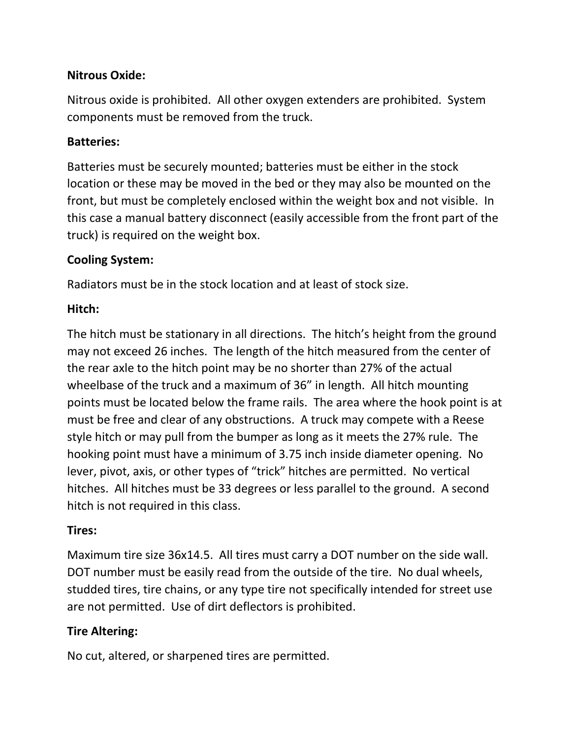## **Nitrous Oxide:**

Nitrous oxide is prohibited. All other oxygen extenders are prohibited. System components must be removed from the truck.

## **Batteries:**

Batteries must be securely mounted; batteries must be either in the stock location or these may be moved in the bed or they may also be mounted on the front, but must be completely enclosed within the weight box and not visible. In this case a manual battery disconnect (easily accessible from the front part of the truck) is required on the weight box.

## **Cooling System:**

Radiators must be in the stock location and at least of stock size.

# **Hitch:**

The hitch must be stationary in all directions. The hitch's height from the ground may not exceed 26 inches. The length of the hitch measured from the center of the rear axle to the hitch point may be no shorter than 27% of the actual wheelbase of the truck and a maximum of 36" in length. All hitch mounting points must be located below the frame rails. The area where the hook point is at must be free and clear of any obstructions. A truck may compete with a Reese style hitch or may pull from the bumper as long as it meets the 27% rule. The hooking point must have a minimum of 3.75 inch inside diameter opening. No lever, pivot, axis, or other types of "trick" hitches are permitted. No vertical hitches. All hitches must be 33 degrees or less parallel to the ground. A second hitch is not required in this class.

# **Tires:**

Maximum tire size 36x14.5. All tires must carry a DOT number on the side wall. DOT number must be easily read from the outside of the tire. No dual wheels, studded tires, tire chains, or any type tire not specifically intended for street use are not permitted. Use of dirt deflectors is prohibited.

# **Tire Altering:**

No cut, altered, or sharpened tires are permitted.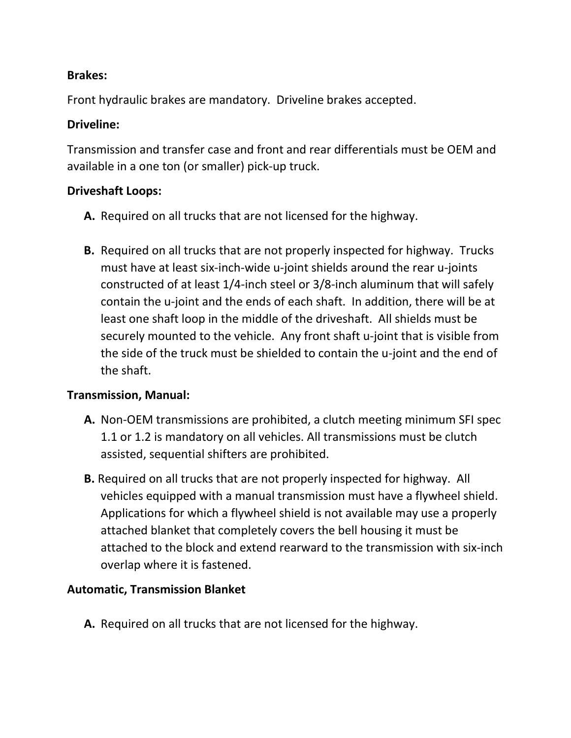### **Brakes:**

Front hydraulic brakes are mandatory. Driveline brakes accepted.

### **Driveline:**

Transmission and transfer case and front and rear differentials must be OEM and available in a one ton (or smaller) pick-up truck.

### **Driveshaft Loops:**

- **A.** Required on all trucks that are not licensed for the highway.
- **B.** Required on all trucks that are not properly inspected for highway. Trucks must have at least six-inch-wide u-joint shields around the rear u-joints constructed of at least 1/4-inch steel or 3/8-inch aluminum that will safely contain the u-joint and the ends of each shaft. In addition, there will be at least one shaft loop in the middle of the driveshaft. All shields must be securely mounted to the vehicle. Any front shaft u-joint that is visible from the side of the truck must be shielded to contain the u-joint and the end of the shaft.

#### **Transmission, Manual:**

- **A.** Non-OEM transmissions are prohibited, a clutch meeting minimum SFI spec 1.1 or 1.2 is mandatory on all vehicles. All transmissions must be clutch assisted, sequential shifters are prohibited.
- **B.** Required on all trucks that are not properly inspected for highway. All vehicles equipped with a manual transmission must have a flywheel shield. Applications for which a flywheel shield is not available may use a properly attached blanket that completely covers the bell housing it must be attached to the block and extend rearward to the transmission with six-inch overlap where it is fastened.

#### **Automatic, Transmission Blanket**

**A.** Required on all trucks that are not licensed for the highway.